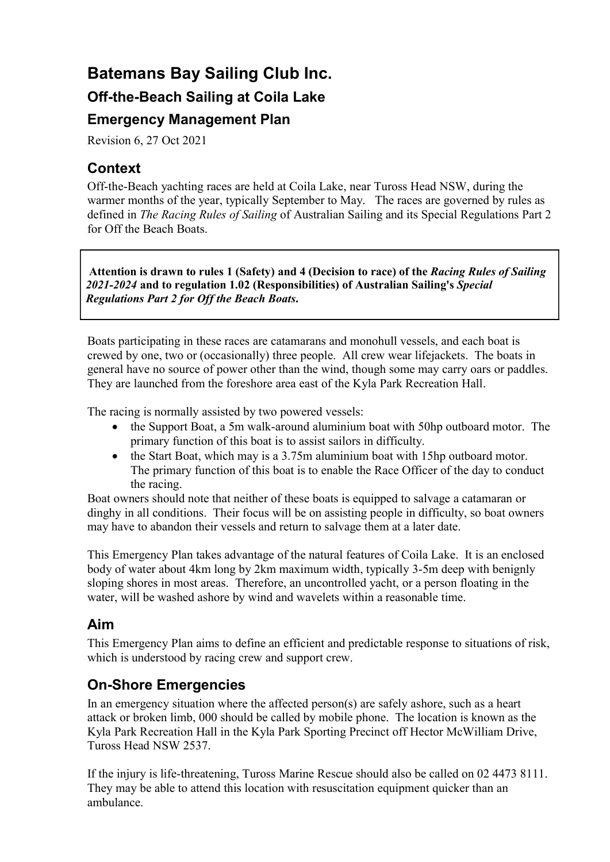# Batemans Bay Sailing Club Inc. Off-the-Beach Sailing at Coila Lake Emergency Management Plan

Revision 6, 27 Oct 2021

### Context

Off-the-Beach yachting races are held at Coila Lake, near Tuross Head NSW, during the warmer months of the year, typically September to May. The races are governed by rules as defined in The Racing Rules of Sailing of Australian Sailing and its Special Regulations Part 2 for Off the Beach Boats.

Attention is drawn to rules 1 (Safety) and 4 (Decision to race) of the Racing Rules of Sailing 2021-2024 and to regulation 1.02 (Responsibilities) of Australian Sailing's Special Regulations Part 2 for Off the Beach Boats.

Boats participating in these races are catamarans and monohull vessels, and each boat is crewed by one, two or (occasionally) three people. All crew wear lifejackets. The boats in general have no source of power other than the wind, though some may carry oars or paddles. They are launched from the foreshore area east of the Kyla Park Recreation Hall.

The racing is normally assisted by two powered vessels:

- the Support Boat, a 5m walk-around aluminium boat with 50hp outboard motor. The primary function of this boat is to assist sailors in difficulty.
- the Start Boat, which may is a 3.75m aluminium boat with 15hp outboard motor. The primary function of this boat is to enable the Race Officer of the day to conduct the racing.

Boat owners should note that neither of these boats is equipped to salvage a catamaran or dinghy in all conditions. Their focus will be on assisting people in difficulty, so boat owners may have to abandon their vessels and return to salvage them at a later date.

This Emergency Plan takes advantage of the natural features of Coila Lake. It is an enclosed body of water about 4km long by 2km maximum width, typically 3-5m deep with benignly sloping shores in most areas. Therefore, an uncontrolled yacht, or a person floating in the water, will be washed ashore by wind and wavelets within a reasonable time.

#### Aim

This Emergency Plan aims to define an efficient and predictable response to situations of risk, which is understood by racing crew and support crew.

### On-Shore Emergencies

In an emergency situation where the affected person(s) are safely ashore, such as a heart attack or broken limb, 000 should be called by mobile phone. The location is known as the Kyla Park Recreation Hall in the Kyla Park Sporting Precinct off Hector McWilliam Drive, Tuross Head NSW 2537.

If the injury is life-threatening, Tuross Marine Rescue should also be called on 02 4473 8111. They may be able to attend this location with resuscitation equipment quicker than an ambulance.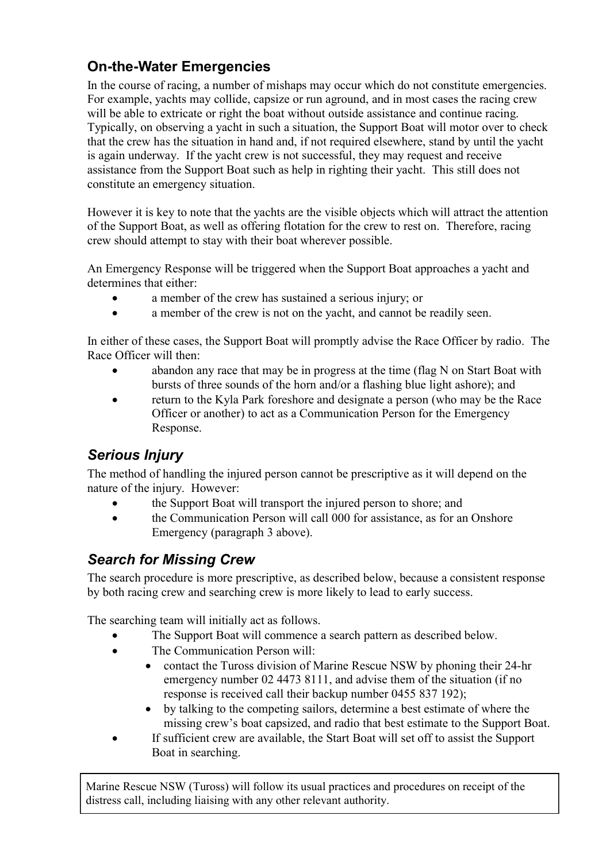## On-the-Water Emergencies

In the course of racing, a number of mishaps may occur which do not constitute emergencies. For example, yachts may collide, capsize or run aground, and in most cases the racing crew will be able to extricate or right the boat without outside assistance and continue racing. Typically, on observing a yacht in such a situation, the Support Boat will motor over to check that the crew has the situation in hand and, if not required elsewhere, stand by until the yacht is again underway. If the yacht crew is not successful, they may request and receive assistance from the Support Boat such as help in righting their yacht. This still does not constitute an emergency situation.

However it is key to note that the yachts are the visible objects which will attract the attention of the Support Boat, as well as offering flotation for the crew to rest on. Therefore, racing crew should attempt to stay with their boat wherever possible.

An Emergency Response will be triggered when the Support Boat approaches a yacht and determines that either:

- a member of the crew has sustained a serious injury; or
- a member of the crew is not on the yacht, and cannot be readily seen.

In either of these cases, the Support Boat will promptly advise the Race Officer by radio. The Race Officer will then:

- abandon any race that may be in progress at the time (flag N on Start Boat with bursts of three sounds of the horn and/or a flashing blue light ashore); and
- return to the Kyla Park foreshore and designate a person (who may be the Race Officer or another) to act as a Communication Person for the Emergency Response.

### Serious Injury

The method of handling the injured person cannot be prescriptive as it will depend on the nature of the injury. However:

- the Support Boat will transport the injured person to shore; and
- the Communication Person will call 000 for assistance, as for an Onshore Emergency (paragraph 3 above).

### Search for Missing Crew

The search procedure is more prescriptive, as described below, because a consistent response by both racing crew and searching crew is more likely to lead to early success.

The searching team will initially act as follows.

- The Support Boat will commence a search pattern as described below.
- The Communication Person will:
	- contact the Tuross division of Marine Rescue NSW by phoning their 24-hr emergency number 02 4473 8111, and advise them of the situation (if no response is received call their backup number 0455 837 192);
	- by talking to the competing sailors, determine a best estimate of where the missing crew's boat capsized, and radio that best estimate to the Support Boat.
- If sufficient crew are available, the Start Boat will set off to assist the Support Boat in searching.

Marine Rescue NSW (Tuross) will follow its usual practices and procedures on receipt of the distress call, including liaising with any other relevant authority.